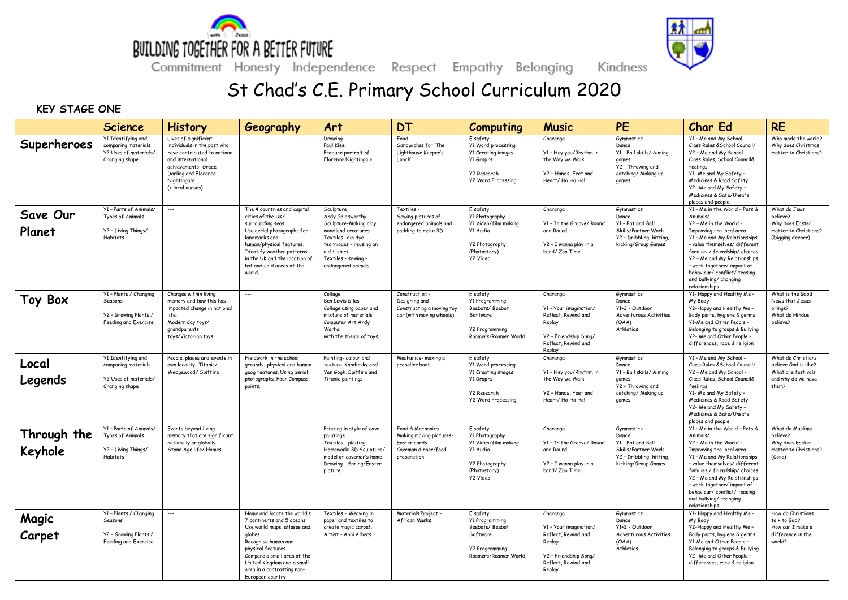



Kindness

Commitment Honesty Independence Respect Empathy Belonging

## St Chad's C.E. Primary School Curriculum 2020

## **KEY STAGE ONE**

|                        | <b>Science</b>                                                                              | <b>History</b>                                                                                                                                                                             | Geography                                                                                                                                                                                                                                                    | Art                                                                                                                                                                                      | <b>DT</b>                                                                                           | <b>Computing</b>                                                                                                            | <b>Music</b>                                                                                                                  | PE                                                                                                                  | <b>Char Ed</b>                                                                                                                                                                                                                                                                                                                           | <b>RE</b>                                                                                       |
|------------------------|---------------------------------------------------------------------------------------------|--------------------------------------------------------------------------------------------------------------------------------------------------------------------------------------------|--------------------------------------------------------------------------------------------------------------------------------------------------------------------------------------------------------------------------------------------------------------|------------------------------------------------------------------------------------------------------------------------------------------------------------------------------------------|-----------------------------------------------------------------------------------------------------|-----------------------------------------------------------------------------------------------------------------------------|-------------------------------------------------------------------------------------------------------------------------------|---------------------------------------------------------------------------------------------------------------------|------------------------------------------------------------------------------------------------------------------------------------------------------------------------------------------------------------------------------------------------------------------------------------------------------------------------------------------|-------------------------------------------------------------------------------------------------|
| Superheroes            | Y1 Identifying and<br>comparing materials<br>Y2 Uses of materials/<br>Changing shape        | Lives of significant<br>individuals in the past who<br>have contributed to national<br>and international<br>achievements- Grace<br>Darling and Florence<br>Nightingale<br>(+ local nurses) |                                                                                                                                                                                                                                                              | Drawing<br>Paul Klee<br>Produce portrait of<br>Florence Nightingale                                                                                                                      | Food<br>Sandwiches for 'The<br>Lighthouse Keeper's<br>Lunch'                                        | E safety<br>Y1 Word processing<br><b>Y1 Creating images</b><br>Y1 Graphs<br><b>Y2 Research</b><br><b>Y2 Word Processing</b> | Charanga<br>Y1 - Hey you/Rhythm in<br>the Way we Walk<br>Y2 - Hands, Feet and<br>Heart/ Ho Ho Ho!                             | Gymnastics<br>Dance<br>Y1 - Ball skills/ Aiming<br>games<br>Y2 - Throwing and<br>catching/ Making up<br>games.      | Y1 - Me and My School -<br>Class Rules & School Council/<br>Y2 - Me and My School -<br>Class Rules, School Council&<br>feelings<br>Y1- Me and My Safety -<br>Medicines & Road Safety<br>Y2- Me and My Safety -<br>Medicines & Safe/Unsafe<br>places and people                                                                           | Who made the world?<br>Why does Christmas<br>matter to Christians?                              |
| Save Our<br>Planet     | Y1 - Parts of Animals/<br>Types of Animals<br>Y2 - Living Things/<br>Habitats               | ---                                                                                                                                                                                        | The 4 countries and capital<br>cities of the UK/<br>surrounding seas<br>Use aerial photographs for<br>landmarks and<br>human/physical features.<br>Identify weather patterns<br>in the UK and the location of<br>hot and cold areas of the<br>world          | Sculpture<br>Andy Goldsworthy<br>Sculpture-Making clay<br>woodland creatures<br>Textiles- dip dye<br>techniques - reusing an<br>old t-shirt<br>Textiles - sewing -<br>endangered animals | Textiles -<br>Sewing pictures of<br>endangered animals and<br>padding to make 3D                    | E safety<br><b>Y1 Photography</b><br>Y1 Video/film making<br>Y1 Audio<br><b>Y2 Photography</b><br>(Photostory)<br>Y2 Video  | Charanga<br>Y1 - In the Groove/ Round<br>and Round<br>Y2 - I wanna play in a<br>band/ Zoo Time                                | Gymnastics<br>Dance.<br>Y1 - Bat and Ball<br>Skills/Partner Work<br>Y2 - Dribbling, hitting,<br>kicking/Group Games | Y1 - Me in the World - Pets &<br>Animals/<br>Y2 - Me in the World -<br>Improving the local area<br>Y1 - Me and My Relationships<br>- value themselves/ different<br>families / friendship/ choices<br>Y2 - Me and My Relationships<br>- work together/impact of<br>behaviour/conflict/teasing<br>and bullying/ changing<br>relationships | What do Jews<br>believe?<br>Why does Easter<br>matter to Christians?<br>(Digging deeper)        |
| Toy Box                | Y1 - Plants / Changing<br>Seasons<br>Y2 - Growing Plants /<br>Feeding and Exercise          | Changes within living<br>memory and how this has<br>impacted change in national<br>life.<br>Modern day toys/<br>grandparents<br>toys/Victorian toys                                        | $\overline{\phantom{a}}$                                                                                                                                                                                                                                     | Collage<br>Ben Lewis Giles<br>Collage using paper and<br>mixture of materials<br>Computer Art Andy<br>Warhol<br>with the theme of toys.                                                  | Construction -<br>Designing and<br>Constructing a moving toy<br>car (with moving wheels).           | E safety<br><b>Y1 Programming</b><br>Beebots/Beebot<br>Software<br><b>Y2 Programming</b><br>Roamers/Roamer World            | Charanga<br>Y1 - Your imagination/<br>Reflect, Rewind and<br>Replay<br>Y2 - Friendship Song/<br>Reflect, Rewind and<br>Replay | Gymnastics<br>Dance.<br>Y1+2 - Outdoor<br>Adventurous Activities<br>(OAA)<br>Athletics                              | Y1- Happy and Healthy Me-<br>My Body<br>Y2-Happy and Healthy Me-<br>Body parts, hygiene & germs<br>Y1-Me and Other People -<br>Belonging to groups & Bullying<br>Y2- Me and Other People -<br>differences, race & religion                                                                                                               | What is the Good<br>News that Jesus<br>brings?<br>What do Hindus<br>believe?                    |
| Local<br>Legends       | Y1 Identifying and<br>comparing materials<br><b>Y2 Uses of materials/</b><br>Changing shape | People, places and events in<br>own locality- Titanic/<br>Wedgewood/Spitfire                                                                                                               | Fieldwork in the school<br>grounds- physical and human<br>geog features. Using aerial<br>photographs. Four Compass<br>points.                                                                                                                                | Painting-colour and<br>texture. Kandinsky and<br>Van Gogh, Spitfire and<br>Titanic paintings                                                                                             | Mechanics-making a<br>propeller boat.                                                               | E safety<br>Y1 Word processing<br><b>Y1 Creating images</b><br>Y1 Graphs<br>Y2 Research<br><b>Y2 Word Processing</b>        | Charanga<br>Y1 - Hey you/Rhythm in<br>the Way we Walk<br>Y2 - Hands, Feet and<br>Heart/ Ho Ho Ho!                             | Gymnastics<br>Dance<br>Y1 - Ball skills/ Aimina<br>games<br>Y2 - Throwing and<br>catching/ Making up<br>games.      | Y1 - Me and My School -<br>Class Rules & School Council/<br>Y2 - Me and My School -<br>Class Rules, School Council&<br>feelings<br>Y1- Me and My Safety -<br>Medicines & Road Safety<br>Y2- Me and My Safety -<br>Medicines & Safe/Unsafe<br>places and people                                                                           | What do Christians<br>believe God is like?<br>What are festivals<br>and why do we have<br>them? |
| Through the<br>Keyhole | <b>Y1</b> - Parts of Animals/<br>Types of Animals<br>Y2 - Living Things/<br><b>Habitats</b> | Events beyond living<br>memory that are significant<br>nationally or globally<br>Stone Age life/Homes                                                                                      | $\overline{\phantom{a}}$                                                                                                                                                                                                                                     | Printing in style of cave<br>paintings<br>Textiles - plaiting<br>Homework: 3D Sculpture/<br>model of caveman's home<br>Drawing - Spring/Easter<br>picture                                | Food & Mechanics -<br>Making moving pictures-<br>Easter cards<br>Caveman dinner/food<br>preparation | E safety<br>Y1 Photography<br>Y1 Video/film making<br>Y1 Audio<br><b>Y2 Photography</b><br>(Photostory)<br>Y2 Video         | Charanga<br>Y1 - In the Groove/ Round<br>and Round<br>Y2 - I wanna play in a<br>band/ Zoo Time                                | Gymnastics<br>Dance<br>Y1 - Bat and Ball<br>Skills/Partner Work<br>Y2 - Dribbling, hitting,<br>kicking/Group Games  | Y1 - Me in the World - Pets &<br>Animals/<br>Y2 - Me in the World -<br>Improving the local area<br>Y1 - Me and My Relationships<br>- value themselves/ different<br>families / friendship/ choices<br>Y2 - Me and My Relationships<br>- work together/impact of<br>behaviour/conflict/teasing<br>and bullying/ changing<br>relationships | What do Muslims<br>believe?<br>Why does Easter<br>matter to Christians?<br>(Core)               |
| Magic<br>Carpet        | Y1 - Plants / Changing<br>Seasons<br>Y2 - Growing Plants /<br>Feeding and Exercise          | ---                                                                                                                                                                                        | Name and locate the world's<br>7 continents and 5 oceans<br>Use world maps, atlases and<br>globes<br>Recognise human and<br>physical features<br>Compare a small area of the<br>United Kingdom and a small<br>area in a contrasting non-<br>European country | Textiles - Weaving in<br>paper and textiles to<br>create magic carpet.<br>Artist - Anni Albers                                                                                           | Materials Project -<br>African Masks                                                                | E safety<br><b>Y1 Programming</b><br>Beebots/Beebot<br>Software<br><b>Y2 Programming</b><br>Roamers/Roamer World            | Charanga<br>Y1 - Your imagination/<br>Reflect, Rewind and<br>Replay<br>Y2 - Friendship Song/<br>Reflect, Rewind and<br>Replay | Gymnastics<br>Dance<br>Y1+2 - Outdoor<br>Adventurous Activities<br>(OAA)<br>Athletics                               | Y1- Happy and Healthy Me-<br>My Body<br>Y2-Happy and Healthy Me -<br>Body parts, hygiene & germs<br>Y1-Me and Other People -<br>Belonging to groups & Bullying<br>Y2- Me and Other People -<br>differences, race & religion                                                                                                              | How do Christians<br>talk to God?<br>How can I make a<br>difference in the<br>world?            |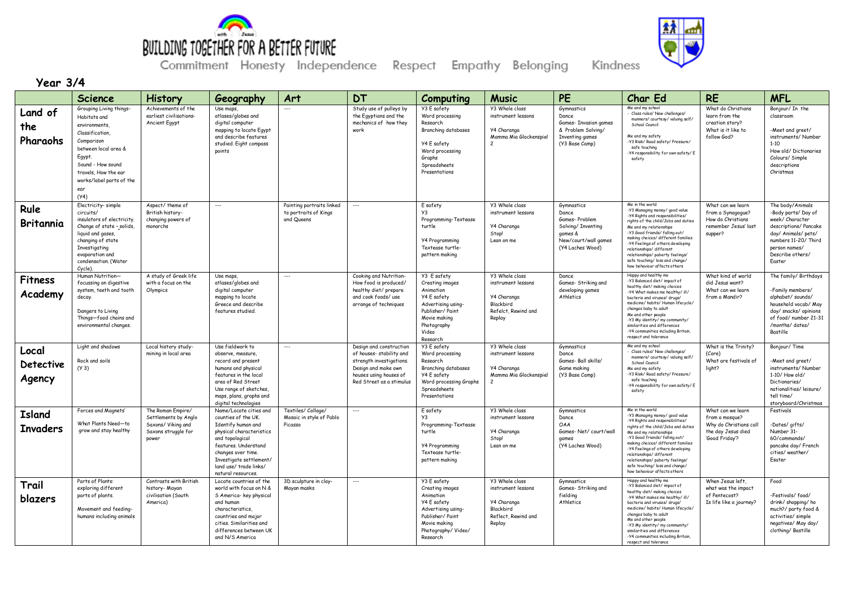

Kindness

**Year 3/4**

|                                     | Science                                                                                                                                                                                                             | <b>History</b>                                                                                  | Geography                                                                                                                                                                                                                                   | Art                                                              | <b>DT</b>                                                                                                                                                   | Computing                                                                                                                                                | <b>Music</b>                                                                                              | PE                                                                                                                | Char Ed                                                                                                                                                                                                                                                                                                                                                                                               | <b>RE</b>                                                                                           | <b>MFL</b>                                                                                                                                                                        |
|-------------------------------------|---------------------------------------------------------------------------------------------------------------------------------------------------------------------------------------------------------------------|-------------------------------------------------------------------------------------------------|---------------------------------------------------------------------------------------------------------------------------------------------------------------------------------------------------------------------------------------------|------------------------------------------------------------------|-------------------------------------------------------------------------------------------------------------------------------------------------------------|----------------------------------------------------------------------------------------------------------------------------------------------------------|-----------------------------------------------------------------------------------------------------------|-------------------------------------------------------------------------------------------------------------------|-------------------------------------------------------------------------------------------------------------------------------------------------------------------------------------------------------------------------------------------------------------------------------------------------------------------------------------------------------------------------------------------------------|-----------------------------------------------------------------------------------------------------|-----------------------------------------------------------------------------------------------------------------------------------------------------------------------------------|
| Land of<br>the<br>Pharaohs          | Grouping Living things-<br>Habitats and<br>environments,<br>Classification,<br>Comparison<br>between local area &<br>Egypt.<br>Sound - How sound<br>travels, How the ear<br>works/label parts of the<br>ear<br>(Y4) | Achievements of the<br>earliest civilisations-<br><b>Ancient Egypt</b>                          | Use maps<br>atlases/globes and<br>digital computer<br>mapping to locate Egypt<br>and describe features<br>studied. Eight compass<br>points                                                                                                  |                                                                  | Study use of pulleys by<br>the Egyptians and the<br>mechanics of how they<br>work                                                                           | Y3 E safety<br>Word processing<br>Research<br>Branching databases<br>Y4 E safety<br>Word processing<br>Graphs<br>Spreadsheets<br>Presentations           | Y3 Whole class<br>instrument lessons<br>Y4 Charanga<br>Mamma Mia Glockenspiel<br>$\overline{c}$           | Gymnastics<br>Dance<br>Games- Invasion games<br>& Problem Solving/<br>Inventing games<br>(Y3 Base Camp)           | Me and my school<br>Class rules/ New challenges/<br>manners/courtesy/valuing self/<br>School Council<br>Me and my safety<br>-Y3 Risk/ Road safety/ Pressure/<br>safe touching<br>Y4 responsibility for own safety/E<br>safety                                                                                                                                                                         | What do Christians<br>learn from the<br>creation story?<br>What is it like to<br>follow God?        | Bonjour/ In the<br>classroom<br>-Meet and greet/<br>instruments/Number<br>$1 - 10$<br>How old/ Dictionaries<br>Colours/ Simple<br>descriptions<br>Christmas                       |
| Rule<br>Britannia                   | Electricity-simple<br>circuits/<br>insulators of electricity.<br>Change of state - solids,<br>liquid and gases,<br>changing of state<br>Investigating<br>evaporation and<br>condensation, (Water<br>Cycle).         | Aspect/ theme of<br>British history-<br>changing powers of<br>monarchs                          | $\overline{\phantom{a}}$                                                                                                                                                                                                                    | Painting portraits linked<br>to portraits of Kings<br>and Queens | $\overline{\phantom{a}}$                                                                                                                                    | E safety<br>Y3<br>Programming-Textease<br>turtle<br><b>Y4 Programming</b><br>Textease turtle-<br>pattern making                                          | Y3 Whole class<br>instrument lessons<br>Y4 Charanga<br>Stop!<br>Lean on me                                | Gymnastics<br>Dance<br>Games-Problem<br>Solving/ Inventing<br>games &<br>New/court/wall games<br>(Y4 Laches Wood) | Me in the world<br>-Y3 Managing money/ good value<br>-Y4 Rights and responsibilities/<br>ights of the child/Jobs and duties<br>Me and my relationships<br>-Y3 Good friends/ falling out/<br>making choices/ different families<br>-Y4 Feelings of others developing<br>relationships/different<br>relationships/ puberty feelings/<br>safe touching/ loss and change/<br>how behaviour affects others | What can we learn<br>from a Synagogue?<br>How do Christians<br>remember Jesus' last<br>supper?      | The body/Animals<br>-Body parts/ Day of<br>week/ Character<br>descriptions/ Pancake<br>day/ Animals/ pets/<br>numbers 11-20/ Third<br>person names/<br>Describe others/<br>Easter |
| <b>Fitness</b><br>Academy           | Human Nutrition-<br>focussing on digestive<br>system, teeth and tooth<br>decay.<br>Dangers to Living<br>Things-food chains and<br>environmental changes.                                                            | A study of Greek life<br>with a focus on the<br>Olympics                                        | Use maps<br>atlases/globes and<br>digital computer<br>mapping to locate<br>Greece and describe<br>features studied                                                                                                                          | $\overline{a}$                                                   | Cooking and Nutrition-<br>How food is produced/<br>healthy diet/ prepare<br>and cook foods/ use<br>arrange of techniques                                    | Y3 E safety<br>Creating images<br>Animation<br>Y4 E safety<br>Advertising using-<br>Publisher/ Paint<br>Movie making<br>Photography<br>Video<br>Research | Y3 Whole class<br>instrument lessons<br>Y4 Charanga<br>Blackbird<br>Refelct, Rewind and<br>Replay         | Dance<br>Games- Striking and<br>developing games<br>Athletics                                                     | Happy and healthy me<br>-Y3 Balanced diet/ impact of<br>healthy diet/ making choices<br>-Y4 What makes me healthy/ ill/<br>bacteria and viruses/ drugs/<br>medicine/ habits/ Human lifecycle/<br>changes baby to adult<br>Me and other people<br>-Y3 My identity/ my community/<br>similarities and differences<br>-Y4 communities including Britain,<br>respect and tolerance                        | What kind of world<br>did Jesus want?<br>What can we learn<br>from a Mandir?                        | The family/ Birthdays<br>-Family members/<br>alphabet/sounds/<br>household vocab/ May<br>day/ snacks/ opinions<br>of food/ number 21-31<br>/months/ dates/<br>Bastille            |
| Local<br><b>Detective</b><br>Agency | Light and shadows<br>Rock and soils<br>(Y <sub>3</sub> )                                                                                                                                                            | Local history study-<br>mining in local area                                                    | Use fieldwork to<br>observe, measure,<br>record and present<br>humans and physical<br>features in the local<br>area of Red Street<br>Use range of sketches,<br>maps, plans, graphs and<br>digital technologies                              | $\overline{\phantom{a}}$                                         | Design and construction<br>of houses-stability and<br>strength investigations.<br>Design and make own<br>houses using houses of<br>Red Street as a stimulus | Y3 E safety<br>Word processing<br>Research<br>Branching databases<br>Y4 E safety<br>Word processing Graphs<br>Spreadsheets<br>Presentations              | Y3 Whole class<br>instrument lessons<br>Y4 Charanga<br>Mamma Mia Glockenspiel<br>$\overline{\phantom{a}}$ | Gymnastics<br>Dance<br>Games- Ball skills/<br>Game making<br>(Y3 Base Camp)                                       | Me and my school<br>Class rules/ New challenges/<br>manners/courtesy/valuing self,<br>School Council<br>Me and my safety<br>-Y3 Risk/ Road safety/ Pressure/<br>safe touching<br>Y4 responsibility for own safety/ E<br>safety                                                                                                                                                                        | What is the Trinity?<br>(Core)<br>What are festivals of<br>light?                                   | Bonjour/Time<br>-Meet and greet/<br>instruments/Number<br>1-10/ How old/<br>Dictionaries/<br>nationalities/leisure/<br>tell time/<br>storyboard/Christmas                         |
| <b>Island</b><br><b>Invaders</b>    | Forces and Magnets'<br>What Plants Need-to<br>grow and stay healthy                                                                                                                                                 | The Roman Empire/<br>Settlements by Anglo<br>Saxons/ Viking and<br>Saxons struggle for<br>power | Name/Locate cities and<br>counties of the UK.<br>Identify human and<br>physical characteristics<br>and topological<br>features, Understand<br>changes over time.<br>Investigate settlement/<br>land use/ trade links/<br>natural resources. | Textiles/ Collage/<br>Mosaic in style of Pablo<br>Picasso        | $\overline{\phantom{a}}$                                                                                                                                    | E safety<br>Programming-Textease<br>turtle<br><b>Y4 Programming</b><br>Textease turtle-<br>pattern making                                                | <b>Y3 Whole class</b><br>instrument lessons<br>Y4 Charanga<br>Stop!<br>Lean on me                         | Gymnastics<br>Dance<br>OAA<br>Games-Net/court/wall<br>games<br>(Y4 Laches Wood)                                   | Me in the world<br>-Y3 Managing money/good value<br>-Y4 Rights and responsibilities/<br>ights of the child/Jobs and duties<br>Me and my relationships<br>-Y3 Good friends/ falling out/<br>making choices/ different families<br>-Y4 Feelings of others developing<br>relationships/different<br>relationships/ puberty feelings/<br>safe touching/ loss and change/<br>how behaviour affects others  | What can we learn<br>from a mosque?<br>Why do Christians call<br>the day Jesus died<br>Good Friday? | Festivals<br>-Dates/gifts/<br>Number 31-<br>60/commands/<br>pancake day/ French<br>cities/weather/<br>Esater                                                                      |
| Trail<br>blazers                    | Parts of Plants:<br>exploring different<br>parts of plants.<br>Movement and feeding-<br>humans including animals                                                                                                    | Contrasts with British<br>history- Mayan<br>civilisation (South<br>America)                     | Locate countries of the<br>world with focus on N &<br>S America- key physical<br>and human<br>characteristics,<br>countries and major<br>cities. Similarities and<br>differences between UK<br>and N/S America                              | 3D sculpture in clay-<br>Mayan masks                             | $\overline{\phantom{a}}$                                                                                                                                    | Y3 E safety<br>Creating images<br>Animation<br>Y4 E safety<br>Advertising using-<br>Publisher/Paint<br>Movie making<br>Photography/Video/<br>Research    | Y3 Whole class<br>instrument lessons<br>Y4 Charanga<br>Blackbird<br>Reflect, Rewind and<br>Replay         | Gymnastics<br>Games- Striking and<br>fielding<br>Athletics                                                        | Happy and healthy me<br>-Y3 Balanced diet/ impact of<br>healthy diet/ making choices<br>-Y4 What makes me healthy/ ill/<br>bacteria and viruses/ drugs/<br>medicine/ habits/ Human lifecycle/<br>changes baby to adult<br>Me and other people<br>-Y3 My identity/ my community/<br>similarities and differences<br>-Y4 communities including Britain,<br>respect and tolerance                        | When Jesus left,<br>what was the impact<br>of Pentecost?<br>Is life like a journey?                 | Food<br>-Festivals/food/<br>drink/ shopping/ ho<br>much?/ party food &<br>activities/ simple<br>negatives/ May day/<br>clothing/ Bastille                                         |